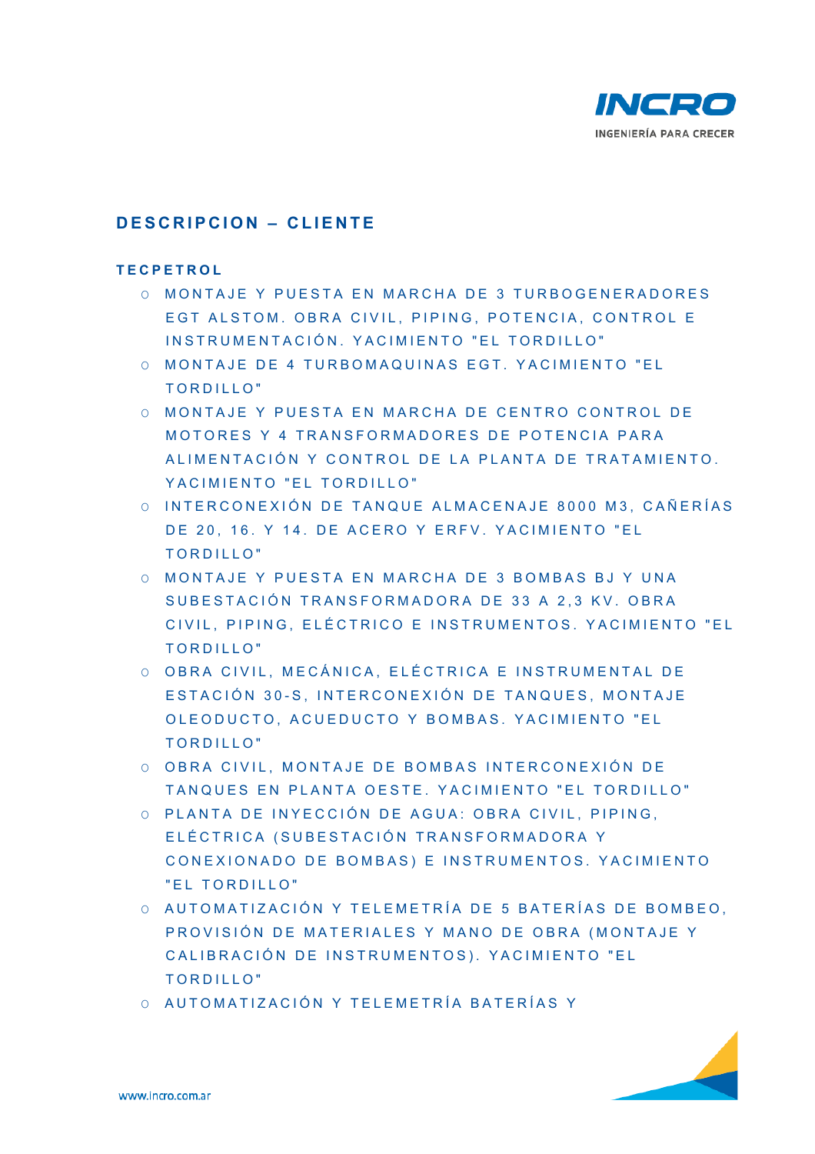

# **DESCRIPCION – CLIENTE**

#### **TECPETROL**

- O MONTAJE Y PUESTA EN MARCHA DE 3 TURBOGENERADORES EGT ALSTOM. OBRA CIVIL, PIPING, POTENCIA, CONTROL E INSTRUMENTACIÓN. YACIMIENTO "EL TORDILLO"
- O MONTAJE DE 4 TURBOMAQUINAS EGT. YACIMIENTO "EL TORDILLO"
- O MONTAJE Y PUESTA EN MARCHA DE CENTRO CONTROL DE MOTORES Y 4 TRANSFORMADORES DE POTENCIA PARA ALIMENTACIÓN Y CONTROL DE LA PLANTA DE TRATAMIENTO. YACIMIENTO "EL TORDILLO"
- O INTERCONEXIÓN DE TAN QUE ALMACENAJE 8000 M3, CAÑERÍAS DE 20, 16. Y 14. DE ACERO Y ERFV. YACIMIENTO "EL TORDILLO"
- O MONTAJE Y PUESTA EN MARCHA DE 3 BOMBAS BJ Y UNA SUBESTACIÓN TRANSFORMADORA DE 33 A 2,3 KV. OBRA CIVIL, PIPING, ELÉCTRICO E INSTRUMENTOS. YACIMIENTO "EL TORDILLO"
- O OBRA CIVIL, MECÁNICA, ELÉCTRICA E INSTRUMENTAL DE ESTACIÓN 30-S, INTERCONEXIÓN DE TANQUES, MONTAJE OLEODUCTO, ACUEDUCTO Y BOMBAS. YACIMIENTO "EL TORDILLO"
- O OBRA CIVIL, MONTAJE DE BOMBAS INTERCONEXIÓN DE TANQUES EN PLANTA OE STE. YACIMIENTO "EL TORDILLO"
- O PLANTA DE INYECCIÓN DE AGUA: OBRA CIVIL, PIPING, ELÉCTRICA (SUBESTACIÓN TRANSFORMADORA Y CONEXIONADO DE BOMBAS) E INSTRUMENTOS. YACIMIENTO "EL TORDILLO"
- O AUTOMATIZACIÓN Y TELEMETRÍA DE 5 BATERÍAS DE BOMBEO, PROVISIÓN DE MATERIALES Y MANO DE OBRA (MONTAJE Y CALIBRACIÓN DE INSTRUMENTOS). YACIMIENTO "EL TORDILLO"
- O AUTOMATIZACIÓN Y TELEMETRÍA BATERÍAS Y

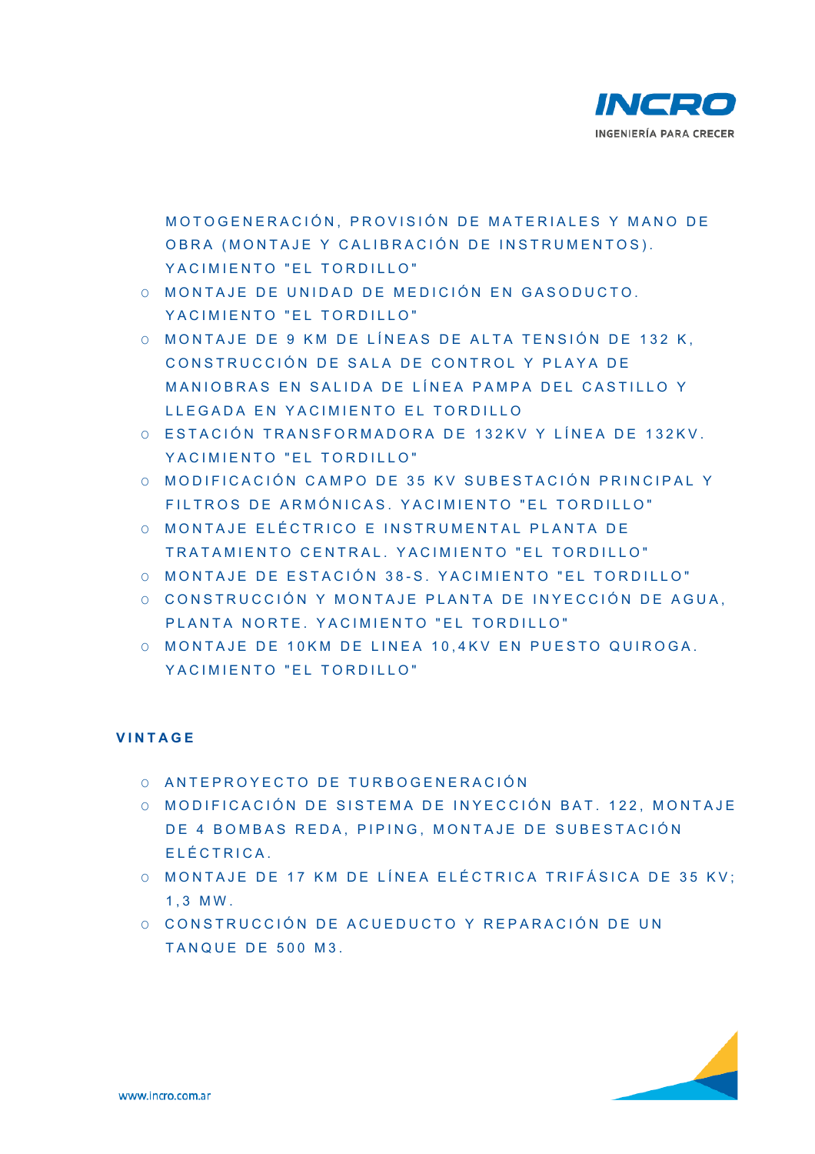

MOTOGENERACIÓN, PROVISIÓN DE MATERIALES Y MANO DE OBRA (MONTAJE Y CALIBRACIÓN DE INSTRUMENTOS). YACIMIENTO "EL TORDILLO"

- O MONTAJE DE UNIDAD DE MEDICIÓN EN GASODUCTO. YACIMIENTO "EL TORDILLO"
- O MONTAJE DE 9 KM DE L ÍNEAS DE ALTA TENSIÓ N DE 132 K, CONSTRUCCIÓN DE SALA DE CONTROL Y PLAYA DE MANIOBRAS EN SALIDA DE LÍNEA PAMPA DEL C ASTILLO Y LLEGADA EN YACIMIENTO EL TORDILLO
- O ESTACIÓN TRANSFORMAD ORA DE 132KV Y LÍNEA DE 132KV. YACIMIENTO "EL TORDILLO"
- O MODIFICACIÓN CAMPO DE 35 KV SUBESTACIÓN PRINCIPAL Y FILTROS DE ARMÓN ICAS. YACIMIENTO "EL TORDILLO"
- O MONTAJE ELÉCTRICO E INSTRUMENTAL PLANTA DE TRATAMIENTO CENTRAL. YACIMIENTO "EL TORDILLO"
- O MONTAJE DE ESTACIÓN 3 8 S. YACIMIENTO "EL TO RDILLO"
- O CONSTRUCCIÓN Y MONTAJE PLANTA DE INYECCIÓN DE AGUA. PLANTA NORTE. YACIMIENTO "EL TORDILLO"
- O MONTAJE DE 10KM DE LINEA 10,4KV EN PUESTO QUIROGA. YACIMIENTO "EL TORDILLO"

### **VINTAGE**

- O ANTEPROYECTO DE TURBOGENERACIÓN
- O MODIFICACIÓN DE SISTEMA DE INYECCIÓN BAT, 122, MONTAJE DE 4 BOMBAS REDA, PIPING, MONTAJE DE SUBESTACIÓN ELÉCTRICA.
- O MONTAJE DE 17 KM DE LÍNEA ELÉCTRICA TRIFÁSICA DE 35 KV; 1,3 MW.
- O CONSTRUCCIÓN DE ACUE DUCTO Y REPARACIÓN DE UN TANQUE DE 500 M3.

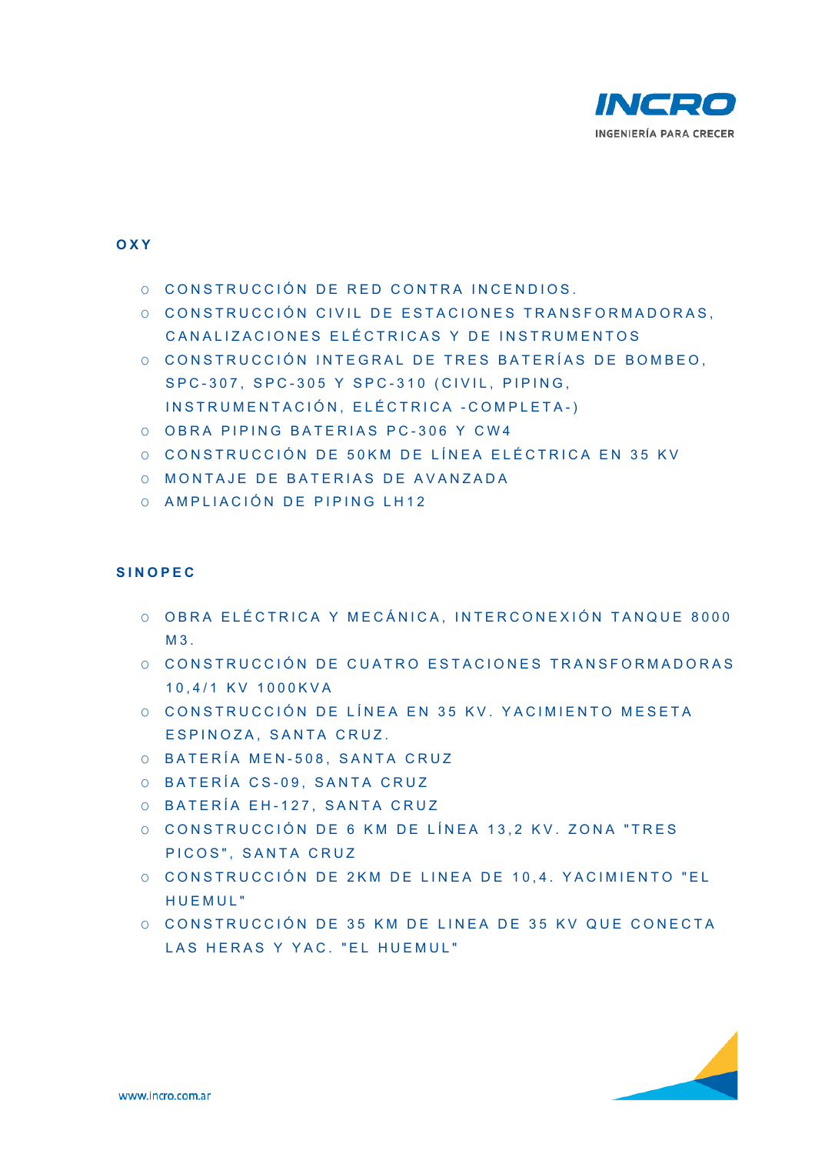

### **OXY**

- O CONSTRUCCIÓN DE RED CONTRA INCENDIOS.
- O CONSTRUCCIÓN CIVIL DE ESTACIONES TRANSFORMADORAS. CANALIZACIONES ELÉCTRICAS Y DE INSTRUMENTOS
- O CONSTRUCCIÓN INTEGRAL DE TRES BATERÍAS DE BOMBEO. SPC - 307, SPC - 305 Y SPC - 310 (CIVIL, PIPING, INSTRUMENTACIÓN, ELÉ CTRICA - COMPLETA - )
- O OBRA PIPING BATERIAS PC-306 Y CW4
- O CONSTRUCCIÓN DE 50KM DE LÍNEA ELÉCTRICA EN 35 KV
- O MONTAJE DE BATERIAS DE AVANZADA
- O AMPLIACIÓN DE PIPING LH12

### **SINOPEC**

- O OBRA ELÉCTRICA Y MEC ÁNICA, INTERCONEXIÓN TANQUE 8000  $M<sub>3</sub>$
- O CONSTRUCCIÓN DE CUATRO ESTACIONES TRANSFORMADORAS 10,4/1 KV 1000KVA
- O CONSTRUCCIÓN DE LÍNEA EN 35 KV. YACIMIENTO MESETA ESPINOZA, SANTA CRUZ .
- O BATERÍA MEN 508, SANTA CRUZ
- O BATERÍA CS-09, SANTA CRUZ
- O BATERÍA EH 127, SANTA CRUZ
- O CONSTRUCCIÓN DE 6 KM DE LÍNEA 13,2 KV. ZONA "TRES PICOS", SANTA CRUZ
- O CONSTRUCCIÓN DE 2KM DE LINEA DE 10,4. YA CIMIENTO "EL HUEMUL"
- O CONSTRUCCIÓN DE 35 K M DE LINEA DE 35 KV QUE CONECTA LAS HERAS Y YAC. "EL HUEMUL"

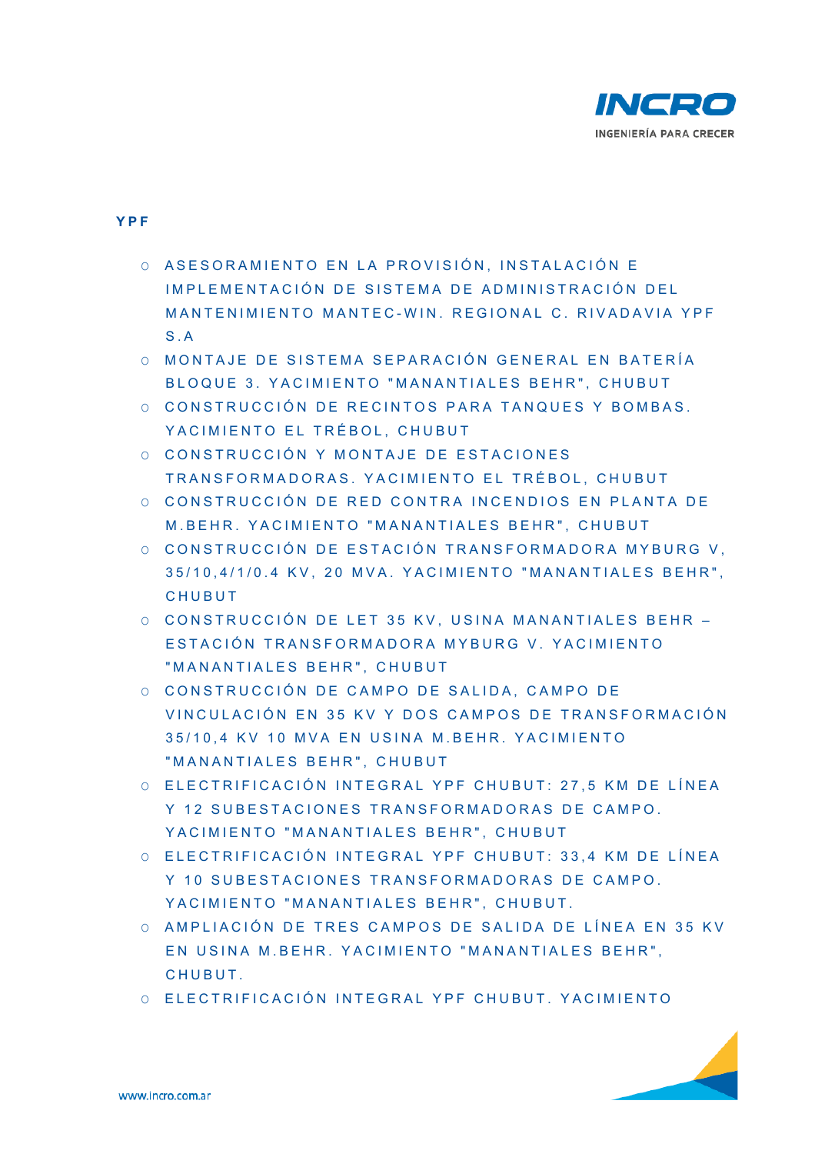

#### **YPF**

- O ASESORAMIENTO EN LA PROVISIÓN, INSTALACIÓN E IMPLEMENTACIÓN DE SISTEMA DE ADMINISTRACIÓN DEL MANTENIMIENTO MANTEC-WIN. REGIONAL C. RIVADAVIA YPF S.A
- O MONTAJE DE SISTEMA SEPARACIÓN GENERAL EN BATERÍA BLOQUE 3. YACIMIENTO "MANANTIALES BEHR", CHUBUT
- O CONSTRUCCIÓN DE RECINTOS PARA TANQUES Y BOMBAS. YACIMIENTO EL TRÉBOL, CHUBUT
- O CONSTRUCCIÓN Y MONTA JE DE ESTACIONES TRANSFORMADORAS. YAC IMIENTO EL TRÉBOL, C HUBUT
- O CONSTRUCCIÓN DE RED CONTRA INCENDIOS EN PLANTA DE M.BEHR. YACIMIENTO "MANANTIALES BEHR", CHUBUT
- O CONSTRUCCIÓN DE ESTACIÓN TRANSFORMADORA MYBURG V. 35/10,4/1/0.4 KV, 20 MVA. YACIMIENTO "MANANTIALES BEHR", CHUBUT
- O CONSTRUCCIÓN DE LET 35 KV, USINA MANANTIALES BEHR -ESTACIÓN TRANSFORMADORA MYBURG V. YACIMIENTO "MANANTIALES BEHR", CHUBUT
- O CONSTRUCCIÓN DE CAMPO DE SALIDA, CAMPO DE VINCULACIÓN EN 35 KV Y DOS CAMPOS DE TRAN SFORMACIÓN 35/10,4 KV 10 MVA EN USINA M.BEHR. YACIMIENTO "MANANTIALES BEHR", CHUBUT
- O ELECTRIFICACIÓN INTEGRAL YPF CHUBUT: 27,5 KM DE LÍNEA Y 12 SUBESTACIONES TRANSFORMADORAS DE CAMPO. YACIMIENTO "MANANTIALES BEHR", CHUBUT
- O ELECTRIFICACIÓN INTE GRAL YPF CHUBUT: 33, 4 KM DE LÍNEA Y 10 SUBESTACIONES TRANSFORMADORAS DE CAMPO. YACIMIENTO "MANANTIALES BEHR", CHUBUT.
- O AMPLIACIÓN DE TRES CAMPOS DE SALIDA DE LÍNEA EN 35 KV EN USINA M.BEHR. YACIMIENTO "MANANTIALES BEHR", **CHUBUT**
- O ELECTRIFICACIÓN INTE GRAL YPF CHUBUT. YAC IMIENTO

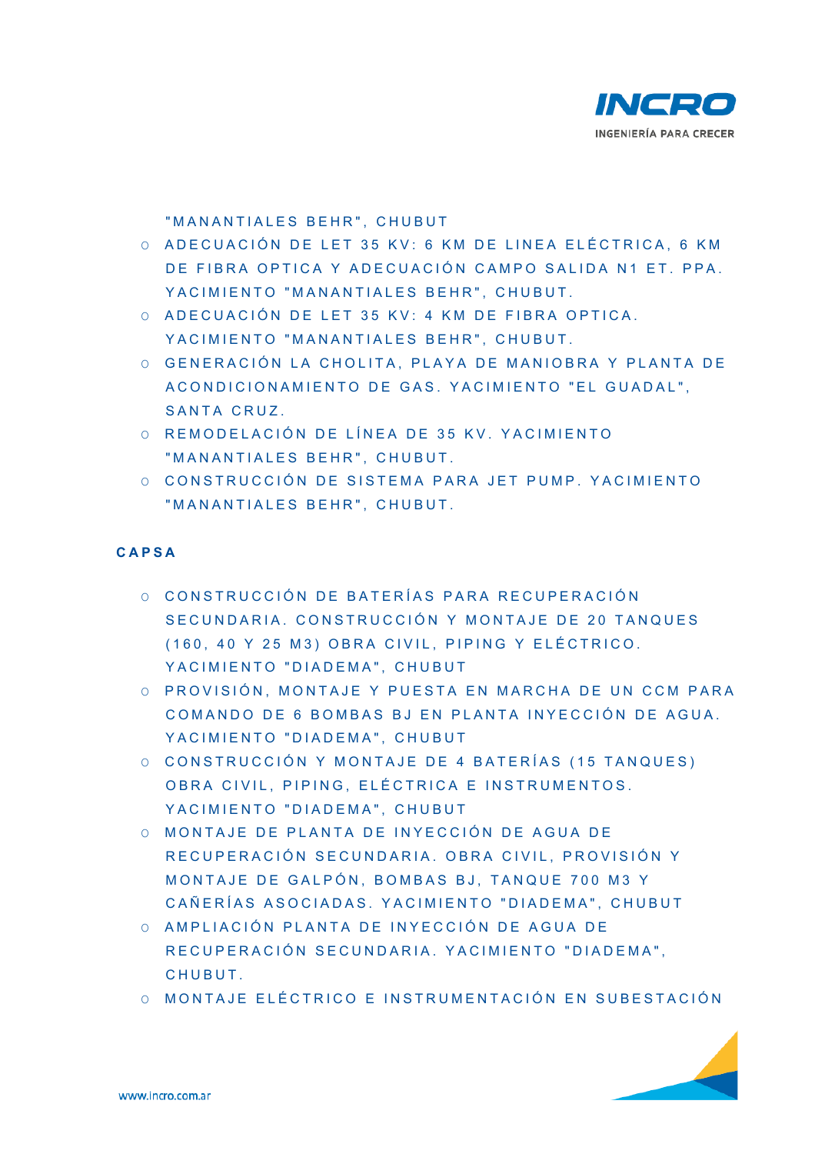

"MANANTIALES BEHR", CHUBUT

- O ADECUACIÓN DE LET 35 KV: 6 KM DE LINEA ELÉCTRICA, 6 KM DE FIBRA OPTICA Y ADECUACIÓN CAMPO SALIDA N1 ET. PPA. YACIMIENTO "MANANTIALES BEHR", CHUBUT.
- O ADECUACIÓN DE LET 35 KV: 4 KM DE FIBRA OPTICA. YACIMIENTO "MANANTIALES BEHR", CHUBUT.
- O GENERACIÓN LA CHOLITA, PLAYA DE MANIOBRA Y PLANTA DE ACONDICIONAMIENTO DE GAS. YACIMIENTO "EL GUADAL", SANTA CRUZ.
- O REMODELACIÓN DE LÍNEA DE 35 KV. YACIMIENTO "MANANTIALES BEHR", CHUBUT.
- O CONSTRUCCIÓN DE SISTEMA PARA JET PUMP. YACIMIENTO "MANANTIALES BEHR", CHUBUT.

### **CAPSA**

- O CONSTRUCCIÓN DE BATERÍAS PARA RECUPERACIÓN SECUNDARIA. CONSTRUC CIÓN Y MONTAJE DE 20 TANQUES (160, 40 Y 25 M3) OB RA CIVIL, PIPING Y E LÉCTRICO. YACIMIENTO "DIADEMA", CHUBUT
- O PROVISIÓN, MONTAJE Y PUESTA EN MARCHA DE UN CCM PARA COMANDO DE 6 BOMBAS BJ EN PLANTA INYECCIÓN DE AGUA. YACIMIENTO "DIADEMA", CHUBUT
- O CONSTRUCCIÓN Y MONTA JE DE 4 BATERÍAS (15 TANQUES) OBRA CIVIL, PIPING, ELÉCTRICA E INSTRUMENTOS. YACIMIENTO "DIADEMA", CHUBUT
- O MONTAJE DE PLANTA DE INYECCIÓN DE AGUA DE RECUPERACIÓN SECUNDARIA, OBRA CIVIL, PROVISIÓN Y MONTAJE DE GALPÓN, BOMBAS BJ, TANQUE 700 M3 Y CAÑERÍAS ASOCIADAS. YACIMIENTO "DIADEMA" , CHUBUT
- O AMPLIACIÓN PLANTA DE INYECCIÓN DE AGUA DE RECUPERACIÓN SECUNDARIA. YACIMIENTO "DIADEMA", **CHUBUT**
- O MONTAJE ELÉCTRICO E INSTRUMENTACIÓN EN SUBESTACIÓN

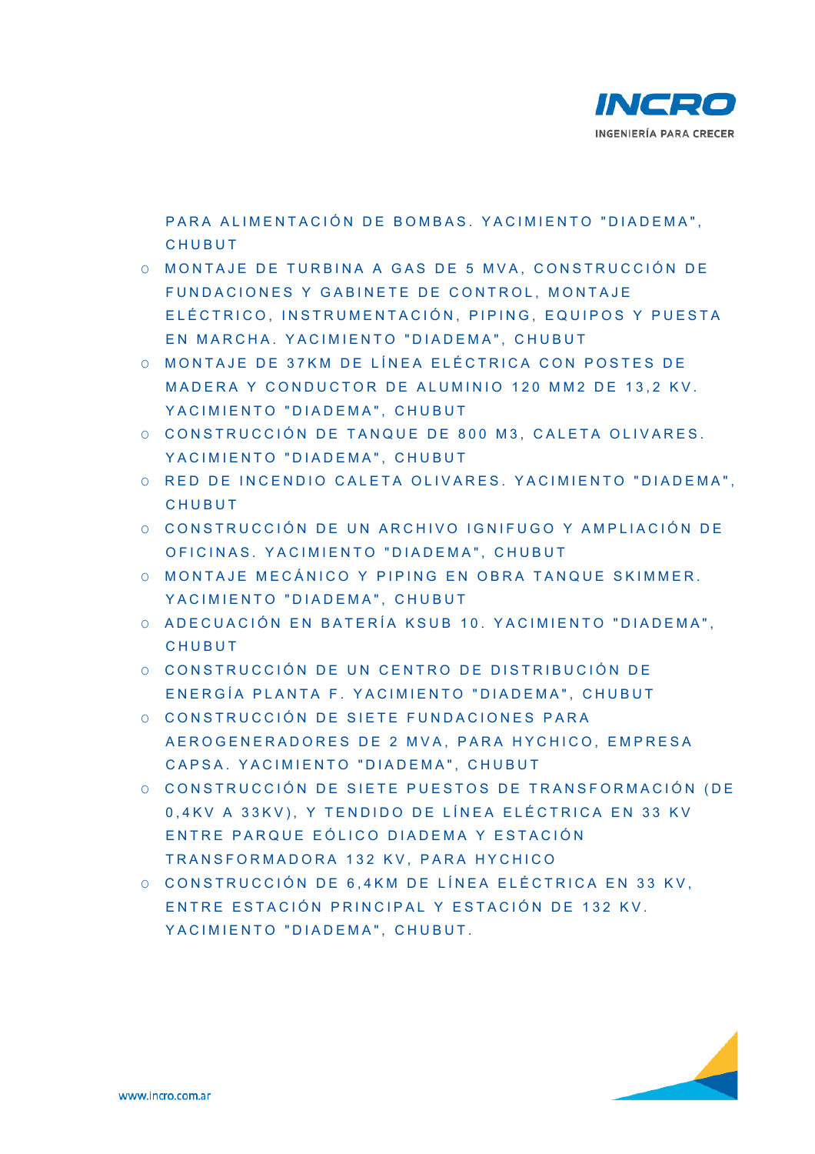

PARA ALIMENTACIÓN DE BOMBAS. YACIMIENTO "DIADEMA", CHUBUT

- O MONTAJE DE TURBINA A GAS DE 5 MVA, CONSTRUCCIÓN DE FUNDACIONES Y GABINETE DE CONTROL, MONTAJE ELÉCTRICO, INSTRUMENTACIÓN, PIPING, EQUIPOS Y PUESTA EN MARCHA, YACIMIENTO "DIADEMA", CHUBUT
- O MONTAJE DE 37KM DE LÍNEA ELÉCTRICA CON POSTES DE MADERA Y CONDUCTOR DE ALUMINIO 120 MM2 DE 13.2 KV. YACIMIENTO "DIADEMA", CHUBUT
- O CONSTRUCCIÓN DE TANQ UE DE 800 M3, CALETA OLIVARES. YACIMIENTO "DIADEMA", CHUBUT
- O RED DE INCENDIO CALETA OLIVARES. YACIMIENTO "DIADEMA", **CHUBUT**
- O CONSTRUCCIÓN DE UN ARCHIVO IGNIFUGO Y AMPLIACIÓN DE OFICINAS. YACIMIENTO "DIADEMA", CHUBUT
- O MONTAJE MECÁNICO Y PIPING EN OBRA TANQUE SKIMMER. YACIMIENTO "DIADEMA", CHUBUT
- O ADECUACIÓN EN BATERÍA KSUB 10. YACIMIENTO "DIADEMA". **CHUBUT**
- O CONSTRUCCIÓN DE UN CENTRO DE DISTRIBUCIÓN DE ENERGÍA PLANTA F. YA CIMIENTO "DIADEMA", CHUBUT
- O CONSTRUCCIÓN DE SIETE FUNDACIONES PARA AEROGENERADORES DE 2 MVA, PARA HYCHICO, EMPRESA CAPSA. YACIMIENTO "DIADEMA". CHUBUT
- O CONSTRUCCIÓN DE SIETE PUESTOS DE TRANSFORMACIÓN (DE 0,4KV A 33KV), Y TENDIDO DE LÍNEA ELÉCTRICA EN 33 KV ENTRE PARQUE EÓLICO DIADEMA Y ESTACIÓN TRANSFORMADORA 132 KV, PARA HYCHICO
- O CONSTRUCCIÓN DE 6.4KM DE LÍNEA ELÉCTRICA EN 33 KV. ENTRE ESTACIÓN PRINCIPAL Y ESTACIÓN DE 132 KV. YACIMIENTO "DIADEMA", CHUBUT,

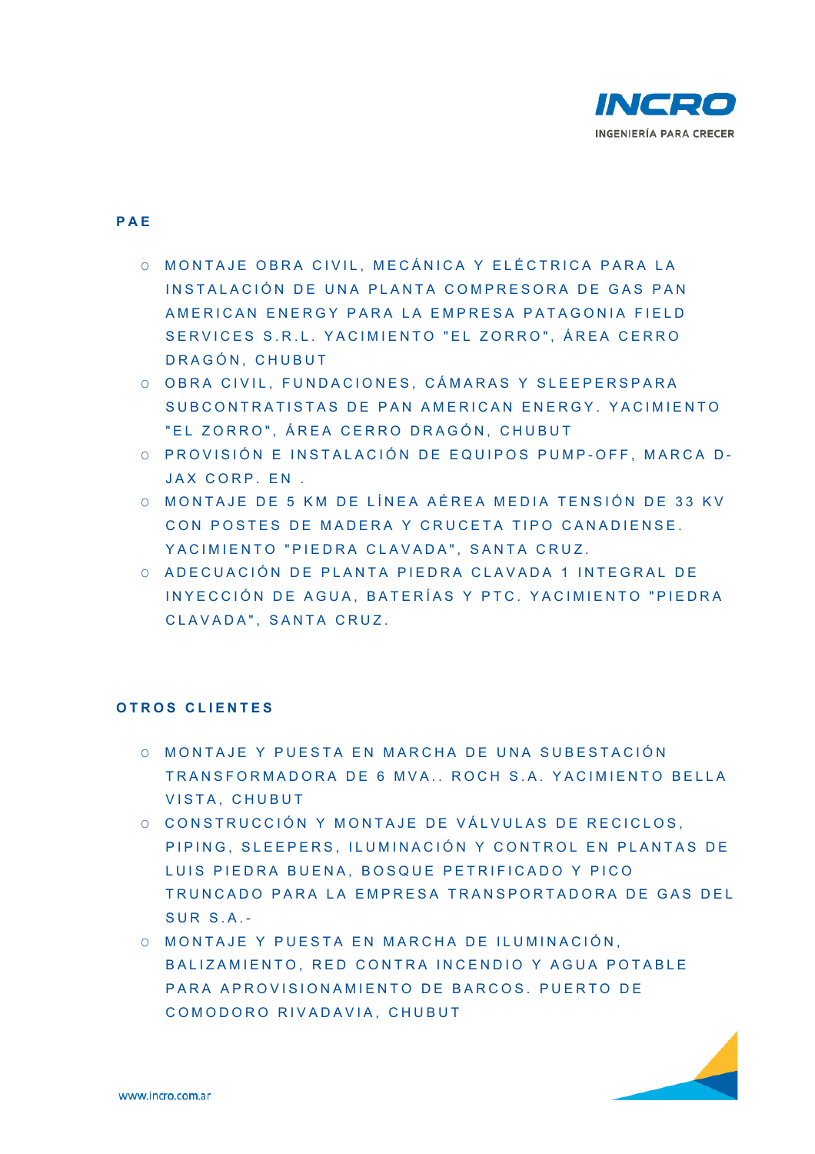

### **PAE**

- O MONTAJE OBRA CIVIL, MECÁNICA Y ELÉCTRICA PARA LA INSTALACIÓN DE UNA PLANTA COMPRESORA DE GAS PAN AMERICAN ENERGY PARA LA EMPRESA PATAGONIA FIELD SERVICES S.R.L. YACIMIENTO "EL ZORRO", ÁREA CERRO DRAGÓN, CHUBUT
- O OBRA CIVIL, FUNDACIONES, CÁMARAS Y SLEEPERSPARA SUBCONTRATISTAS DE PAN AMERICAN ENERGY. YACIMIENTO "EL ZORRO", ÁREA CERRO DRAGÓN, CHUBUT
- O PROVISIÓN E INSTALACIÓN DE EQUIPOS PUMP-OFF, MARCA D-JAX CORP. EN .
- O MONTAJE DE 5 KM DE LÍNEA AÉREA MEDIA TENSIÓN DE 33 KV CON POSTES DE MADERA Y CRUCETA TIPO CANADIENSE. YACIMIENTO "PIEDRA CLAVADA", SANTA CRUZ.
- O ADECUACIÓN DE PLANTA PIEDRA CLAVADA 1 INT EGRAL DE INYECCIÓN DE AGUA, BATERÍAS Y PTC, YACIMIENTO "PIEDRA CLAVADA", SANTA CRUZ.

### **O TROS CLIENTES**

- O MONTAJE Y PUESTA EN MARCHA DE UNA SUBESTACIÓN TRANSFORMADORA DE 6 MVA., ROCH S.A. YACIMIENTO BELLA VISTA, CHUBUT
- O CONSTRUCCIÓN Y MONTAJE DE VÁLVULAS DE RECICLOS. PIPING, SLEEPERS, IL UMINACIÓN Y CONTROL EN PLANTAS DE LUIS PIEDRA BUENA, BOSQUE PETRIFICADO Y PICO TRUNCADO PARA LA EMPRESA TRANSPORTADORA DE GAS DEL SUR S.A. -
- O MONTAJE Y PUESTA EN MARCHA DE ILUMINACIÓ N, BALIZAMIENTO, RED CONTRA INCENDIO Y AGUA POTABLE PARA APROVISIONAMIENTO DE BARCOS. PUERTO DE COMODORO RIVADAVIA, CHUBUT

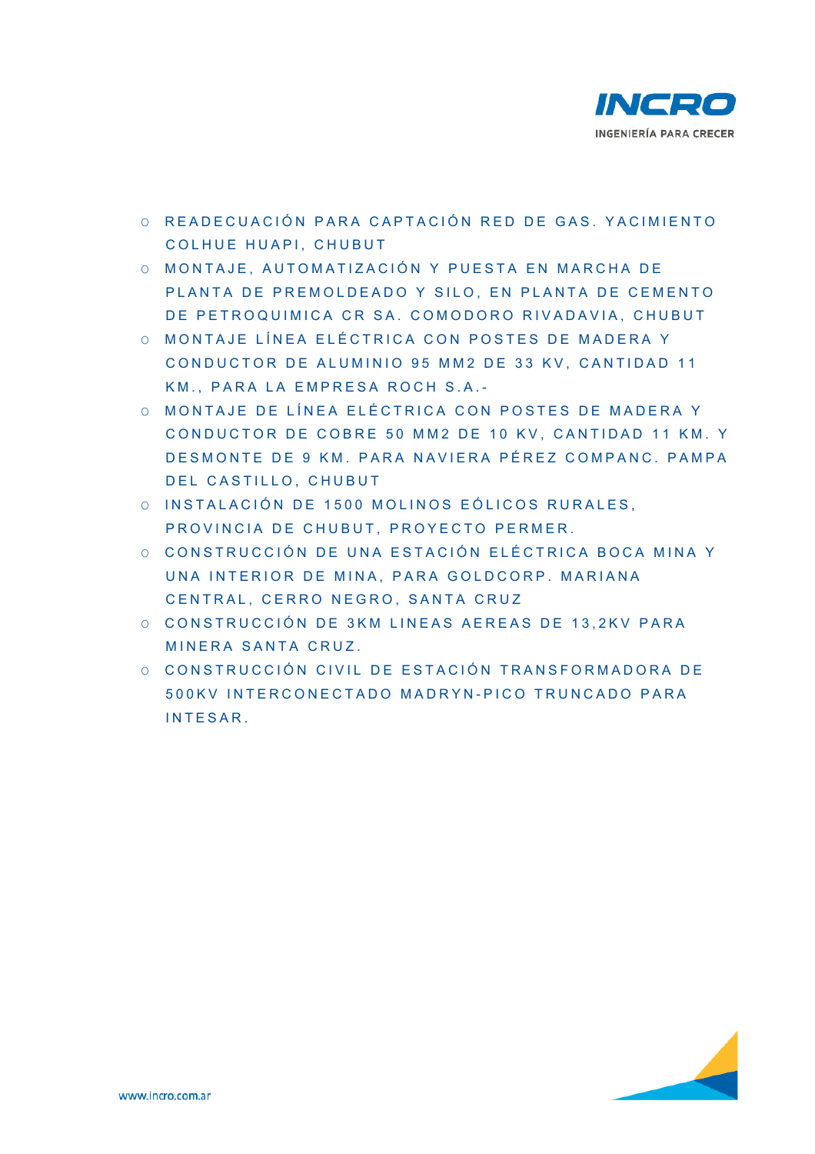

- O READECUACIÓN PARA CAPTACIÓN RED DE GAS. YACIMIENTO COLHUE HUAPI, CHUBUT
- O MONTAJE, AUTOMATIZACIÓN Y PUESTA EN MARCHA DE PLANTA DE PREMOLDEADO Y SILO, EN PLANTA DE CEMENTO DE PETROQUIMICA CR SA, COMODORO RIVADAVIA, CHUBUT
- O MONTAJE LÍNEA ELÉCTRICA CON POSTES DE MADERA Y CONDUCTOR DE ALUMINIO 95 MM2 DE 33 KV, CANTIDAD 11 KM., PARA LA EMPRESA ROCH S.A. -
- O MONTAJE DE LÍNEA ELÉ CTRICA CON POSTES DE MADERA Y CONDUCTOR DE COBRE 50 MM2 DE 10 KV, CANTIDAD 11 KM, Y DESMONTE DE 9 KM. PARA NAVIERA PÉREZ COMPANC. PAMPA DEL CASTILLO, CHUBUT
- O INSTALACIÓN DE 1500 MOLINOS EÓLICOS RURALES, PROVINCIA DE CHUBUT, PROYECTO PERMER.
- O CONSTRUCCIÓN DE UNA ESTACIÓN ELÉCTRICA BOCA MINA Y UNA INTERIOR DE MINA, PARA GOLDCORP, MARIANA CENTRAL, CERRO NEGRO , SANTA CRUZ
- O CONSTRUCCIÓN DE 3KM LINEAS AEREAS DE 13, 2KV PARA MINERA SANTA CRUZ.
- O CONSTRUCCIÓN CIVIL DE ESTACIÓN TRANSFORMADORA DE 500KV INTERCONECTADO MADRYN - PICO TRUNCADO PARA INTESAR.